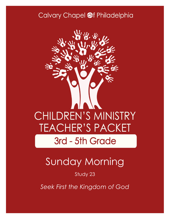### Calvary Chapel @f Philadelphia



# Sunday Morning

#### Study 23

*Seek First the Kingdom of God*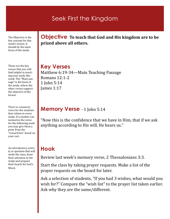### Seek First the Kingdom

The Objective is the key concept for this week's lesson. It should be the main focus of the study.

These are the key verses that you will find helpful in teaching your study this week. The "Main passage" is the basis of the study, where the other verses support the objective of the lesson.

There is a memory verse for the students that relates to every study. If a student can memorize the verse for the following week you may give them a prize from the "reward box" found on your cart.

An introductory activity or question that will settle the class, draw their attention to the study and prepare their hearts for God's Word.

**Objective To teach that God and His kingdom are to be prized above all others.**

### **Key Verses**

Matthew 6:19-34—Main Teaching Passage Romans 12:1-2 1 John 5:14 James 1:17

#### **Memory Verse** - 1 John 5:14

"Now this is the confidence that we have in Him, that if we ask anything according to His will, He hears us."

### **Hook**

Review last week's memory verse, 2 Thessalonians 3:3.

Start the class by taking prayer requests. Make a list of the prayer requests on the board for later.

Ask a selection of students, "If you had 3 wishes, what would you wish for?" Compare the "wish list" to the prayer list taken earlier. Ask why they are the same/different.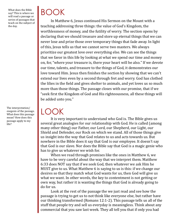What does the Bible say? This is where we will read a passage or series of passages that teach on the subject of the day.

The interpretation/ exegesis of the passage. What does this passage mean? How does this passage apply to my life?

# BOOK

In Matthew 6, Jesus continued His Sermon on the Mount with a teaching addressing three things: the value of God's Kingdom, the worthlessness of money, and the futility of worry. The section opens by declaring that we should treasure and store up eternal things that we can never lose and prize those over temporary things that fade away. In light of this, Jesus tells us that we cannot serve two masters. We always prioritize our greatest love over everything else. We can see the things that we favor in this life by looking at what we spend our time and money on, for, "where your treasure is, there your heart will be also." If we devote our time, talents, and treasure to the things of God, it demonstrates our love toward Him. Jesus then finishes the section by showing that we can't extend our lives even by a second through fret and worry. God has clothed the lilies in the field and gives shelter to animals, and yet loves us so much more than those things. The passage closes with our promise, that if we "seek first the Kingdom of God and His righteousness, all these things will be added unto you."

LOOK

It is very important to understand who God is. The Bible gives us several great analogies for our relationship with God. He is called (among many other thing) our Father, our Lord, our Shepherd, our Light, our Shield and Defender, our Rock on which we stand. All of those things give us insight into the way that God relates to us and acts towards us. But nowhere in the Bible does it say that God is our employee. It doesn't say that God is our slave. Nor does the Bible say that God is a magic genie who has to give us whatever we wish for.

When we read through promises like the ones in Matthew 6, we have to be very careful about the way that we interpret them. Matthew 6:33 does NOT say that if we seek God, then whatever we ask Him he MUST give to us. What Matthew 6 is saying to us is this: if we change our desires so that they match what God wants for us, then God will give us what we want. In other words, the key to contentment is not getting or own way, but rather it is wanting the things that God is already going to do for us.

Look at the rest of the passage the we just read and see how the passage is trying to get us to not think like everyone else, but rather have our thinking transformed (Romans 12:1-2). This passage tells us all of the stuff that people try and sell us everyday is meaningless. Think about any commercial that you saw last week. They all tell you that if only you had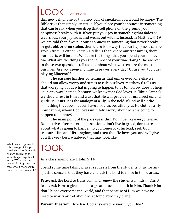# LOOK (Continued)

this new cell phone or that new pair of sneakers, you would be happy. The Bible says that simply isn't true. If you place your happiness in something that can break, when you drop that cell phone on the ground your happiness breaks with it. If you put your joy in something that fades or wears out, your joy fades and wears out with it. Instead, in Matthew 6:19 we are told that if we put our happiness in something that never breaks or gets old, or even stolen, then there is no way that our happiness can be stolen from us either. Verse 21 tells us that where our treasure is, there our hearts will be also. What are the things that you spend your money on? What are the things you spend most of your time doing? The answer to those two questions tell us a lot about what we treasure the most in our lives. Are you spending time in prayer every day? Or are you too busy playing Minecraft?

The passage finishes by telling us that unlike everyone else we should not allow worry and stress to rule our lives. Matthew 6 tells us that worrying about what is going to happen to us tomorrow doesn't help us in any way. Instead, because we know that God loves us (like a Father), we should rest in Him and trust that He will provide for us, direct us, and guide us. Jesus uses the analogy of a lily in the field. If God will clothe something that doesn't even have a soul as beautifully as He clothes a lily, how can we, whom God loves infinitely, worry about what is going to happen tomorrow?

The main point of the passage is this: Don't be like everyone else. Don't strive after material possessions, don't live in greed, don't stress about what is going to happen to you tomorrow. Instead, seek God, treasure Him and His kingdom, and trust that He loves you and will give you His very best, whatever that may look like.

## TOOK

As a class, memorize 1 John 5:14.

Spend some time taking prayer requests from the students. Pray for any specific concern that they have and ask the Lord to move in those areas.

**Pray:** Ask the Lord to transform and renew the students minds in Christ Jesus. Ask Him to give all of us a greater love and faith in Him. Thank Him that He has overcome the world, and that because of Him we have no need to worry or fret about what tomorrow may bring.

Parent Question: How had God answered prayer in your life?

What is my response to this passage of Scripture? How should my life change according to what this passage teaches me? What are the practical things I can do throughout the week to make this true in my life?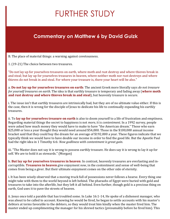# FURTHER STUDY

### **Commentary on Matthew 6 by David Guizk**

B. The place of material things: a warning against covetousness.

1. (19-21) The choice between two treasures.

"Do not lay up for yourselves treasures on earth, where moth and rust destroy and where thieves break in and steal; but lay up for yourselves treasures in heaven, where neither moth nor rust destroys and where thieves do not break in and steal. For where your treasure is, there your heart will be also."

a. **Do not lay up for yourselves treasures on earth**: The ancient Greek more literally says *do not treasure for yourself treasures on earth*. The idea is that earthly treasure is temporary and fading away (**where moth and rust destroy and where thieves break in and steal**), but heavenly treasure is secure.

i. The issue isn't that earthly treasures are intrinsically bad, but they are of no ultimate value either. If this is the case, then it is wrong for the disciple of Jesus to dedicate his life to continually expanding his earthly treasures.

ii. To **lay up for yourselves treasure on earth** is also to doom yourself to a life of frustration and emptiness. Regarding material things the secret to happiness is not *more*, it is *contentment*. In a 1992 survey, people were asked how much money they would have to make to have "the American dream." Those who earn \$25,000 or less a year thought they would need around \$54,000. Those in the \$100,000 annual income bracket said that they could buy the dream for an average of \$192,000 a year. These figures indicate that we typically think we would have to have double our income in order to find the good life. But the Apostle Paul had the right idea in 1 Timothy 6:6: *Now godliness with contentment is great gain*.

iii. "The Master does not say it is wrong to possess earthly treasure. He does say it is wrong to lay it up for self. We are to hold it as stewards." (Morgan)

b. **But lay up for yourselves treasures in heaven**: In contrast, heavenly treasures are everlasting and incorruptible. **Treasures in heaven** give enjoyment *now*, in the contentment and sense of well-being that comes from being a giver. But their ultimate enjoyment comes on the other side of eternity.

i. It has been wisely observed that a moving truck full of possessions never follows a hearse. Every thing one might take with them to the world beyond is left behind. The pharaohs of Egypt were buried with gold and treasures to take into the afterlife, but they left it all behind. Even further, though gold is a precious thing on earth, God uses it to pave the streets of heaven.

ii. Jesus once told a parable that has troubled some. In Luke 16:1-14, He spoke of a dishonest manager, who was about to be called to account. Knowing he would be fired, he began to settle accounts with his master's debtors at terms favorable to the debtors, so they would treat him kindly when the master fired him. The master ended up complimenting the manager for his shrewd tactics (presumably before he fired him). This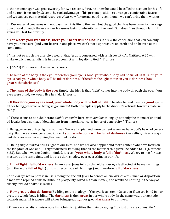dishonest manager was praiseworthy for two reasons. First, he knew he would be called to account for his life and he took it seriously. Second, he took advantage of his present position to arrange a comfortable future and we can use our material resources *right now* for eternal good - even though we can't bring them with us.

iii. Our material treasures will not pass from this life to the next; but the good that has been done for the kingdom of God through the use of our treasures lasts for eternity, and the work God does *in us* through faithful giving will last for eternity.

c. **For where your treasure is, there your heart will be also**: Jesus drew the conclusion that you can only have your treasure (and your heart) in one place; we can't store up treasure on earth and on heaven at the same time.

i. "It is not so much the disciple's wealth that Jesus is concerned with as his loyalty. As Matthew 6:24 will make explicit, materialism is in direct conflict with loyalty to God." (France)

2. (22-23) The choice between two visions.

"The lamp of the body is the eye. If therefore your eye is good, your whole body will be full of light. But if your eye is bad, your whole body will be full of darkness. If therefore the light that is in you is darkness, how great *is* that darkness!"

a. **The lamp of the body is the eye**: Simply, the idea is that "light" comes into the body through the eye. If our eyes were blind, we would live in a "dark" world.

b. **If therefore your eye is good, your whole body will be full of light**: The idea behind having a **good** eye is either being *generous* or being *single minded*. Both principles apply to the disciple's attitude towards material things.

i. "There seems to be a deliberate *double-entendre* here, with *haplous* taking up not only the theme of undivided loyalty but also that of detachment from material concern, hence of generosity." (France)

ii. Being *generous* brings light to our lives. We are happier and more content when we have God's heart of generosity. But if we are not generous, it is as if **your whole body will be full of darkness**. Our selfish, miserly ways cast darkness over everything that we think or do.

iii. Being *single minded* brings light to our lives, and we are also happier and more content when we focus on the kingdom of God and His righteousness, knowing that all the material things will be added to us (Matthew 6:33). But when we are double-minded, it is as if **your whole body** is **full of darkness**. We try to live for two masters at the same time, and it puts a dark shadow over everything in our life.

c. **Full of light…full of darkness**: In any case, Jesus tells us that either our eye is directed at heavenly things (and therefore **full of light**) or it is directed at earthly things (and therefore **full of darkness**).

i. "An *evil eye* was a phrase in use, among the ancient Jews, to denote an *envious*, *covetous* man or disposition; a man who repined at his neighbour's prosperity, loved his own money, and would do nothing in the way of charity for God's sake." (Clarke)

d. **How great is that darkness**: Building on the analogy of the eye, Jesus reminds us that if we are blind in our eyes, the whole body is blind. The **darkness** is then **great** in our whole body. In the same way, our attitude towards material treasure will either bring great **light** or great **darkness** to our lives.

i. Often a materialistic, miserly, selfish Christian justifies their sin by saying, "It's just one area of my life." But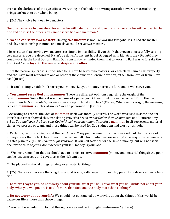even as the darkness of the eye affects everything in the body, so a wrong attitude towards material things brings darkness to our whole being.

3. (24) The choice between two masters.

"No one can serve two masters; for either he will hate the one and love the other, or else he will be loyal to the one and despise the other. You cannot serve God and mammon."

a. **No one can serve two masters**: Having **two masters** is not like working two jobs. Jesus had the master and slave relationship in mind, and no slave could serve two masters.

i. Jesus states that serving two masters is a simple impossibility. If you think that you are successfully serving two masters, you are deceived. It can't be done. As ancient Israel struggled with idolatry, they *thought* they could worship the Lord God and Baal. God constantly reminded them that to worship Baal was to forsake the Lord God. To be **loyal to the one** is to **despise the other**.

ii. "In the natural sphere it is impossible for a slave to serve two masters, for each claims him as his property, and the slave must respond to one or other of the claims with entire devotion, either from love or from interest." (Bruce)

iii. It can be simply said: Don't serve your money. Let your money serve the Lord and it will serve you.

b. **You cannot serve God and mammon**: There are different opinions regarding the origin of the term **mammon**. Some think it was the name of a pagan god. Others think the name comes "From the Hebrew *aman*, to *trust*, *confide*; because men are apt to trust in riches." (Clarke) Whatever its origin, the meaning is clear: **mammon** is materialism, or "wealth personified." (Bruce)

i. According to France, the idea of **mammon** itself was morally neutral. The word was used in some ancient Jewish texts that showed this, translating Proverbs 3:9 as *Honor God with your mammon* and Deuteronomy 6:5 as *You shall love the Lord your God with…all your mammon*. Therefore **mammon** itself represents material things we possess or want, and those things can be used for God's kingdom and glory or as idols.

ii. Certainly, Jesus is talking about the *heart* here. Many people would *say* they love God, but their service of money shows that in fact they do not. How can we tell who or what we are serving? One way is by remembering this principle: *you will sacrifice for your God*. If you will sacrifice for the sake of money, but will not sacrifice for the sake of Jesus, don't deceive yourself: money is your God.

iii. We must remember that we don't have to be rich to serve **mammon** (money and material things); the poor can be just as greedy and covetous as the rich can be.

C. The place of material things: anxiety over material things.

1. (25) Therefore: because the Kingdom of God is so greatly superior to earthly pursuits, *it* deserves our attention.

"Therefore I say to you, do not worry about your life, what you will eat or what you will drink; nor about your body, what you will put on. Is not life more than food and the body more than clothing?"

a. **Do not worry about your life**: We should not get tangled up worrying about the things of this world, because our life is more than those things.

i. "You can be as unfaithful to God through care as well as through covetousness." (Bruce)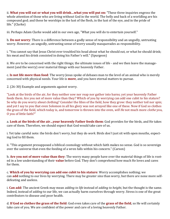ii. **What you will eat or what you will drink…what you will put on:** "These three inquiries engross the whole attention of those who are living without God in the world. The belly and back of a worldling are his compound god; and these he worships in the lust of the flesh, in the lust of the eye, and in the pride of life." (Clarke)

iii. Perhaps Adam Clarke would add in our own age, "What you will do to entertain yourself."

b. **Do not worry**: There is a difference between a godly sense of responsibility and an ungodly, untrusting worry. However, an ungodly, untrusting sense of worry usually masquerades as responsibility.

i. "You cannot say that Jesus Christ ever troubled his head about what he should eat, or what he should drink; his meat and his drink consisted in doing his Father's will." (Spurgeon)

ii. We *are* to be concerned with the right things; the ultimate issues of life - and we then leave the management (and the worry) over material things with our heavenly Father.

c. **Is not life more than food**: The worry Jesus spoke of debases man to the level of an animal who is merely concerned with physical needs. Your life is **more**, and you have eternal matters to pursue.

2. (26-30) Example and arguments against worry.

"Look at the birds of the air, for they neither sow nor reap nor gather into barns; yet your heavenly Father feeds them. Are you not of more value than they? Which of you by worrying can add one cubit to his stature? So why do you worry about clothing? Consider the lilies of the field, how they grow: they neither toil nor spin; and yet I say to you that even Solomon in all his glory was not arrayed like one of these. Now if God so clothes the grass of the field, which today is, and tomorrow is thrown into the oven, *will He* not much more *clothe* you, O you of little faith?"

a. **Look at the birds of the air…your heavenly Father feeds them**: God provides for the birds, and He takes care of them. Therefore, we should expect that God would take care of us.

i. Yet take careful note: the birds don't *worry*, but they do *work*. Birds don't just sit with open mouths, expecting God to fill them.

ii. "This argument presupposed a biblical cosmology without which faith makes no sense. God is so sovereign over the universe that even the feeding of a wren falls within his concern." (Carson)

b. **Are you not of more value than they**: The worry many people have over the material things of life is rooted in a low understanding of their **value** before God. They don't comprehend how much He loves and cares for them.

c. **Which of you by worrying can add one cubit to his stature**: Worry accomplishes nothing; we can **add** nothing to our lives by worrying. There may be greater sins than worry, but there are none more selfdefeating and useless.

i. **Can add**: The ancient Greek may mean *adding to life* instead of *adding to height*, but the thought is the same. Indeed, instead of *adding* to our life, we can actually harm ourselves through worry. Stress is one of the great contributors to disease and poor health.

d. **If God so clothes the grass of the field**: God even takes care of the **grass of the field**, so He will certainly take care of you. We are confident of the power and care of a loving heavenly Father.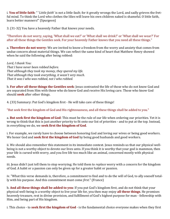i. **You of little faith**: " '*Little faith*' is not a little fault; for it greatly wrongs the Lord, and sadly grieves the fretful mind. To think the Lord who clothes the lilies will leave his own children naked is shameful. O little faith, learn better manners!" (Spurgeon)

3. (31-32) You have a heavenly Father that knows your needs.

"Therefore do not worry, saying, 'What shall we eat?' or 'What shall we drink?' or 'What shall we wear?' For after all these things the Gentiles seek. For your heavenly Father knows that you need all these things."

a. **Therefore do not worry**: We are invited to know a freedom from the worry and anxiety that comes from undue concern about material things. We can reflect the same kind of heart that Matthew Henry showed when he said the following after being robbed:

*Lord, I thank You: That I have never been robbed before. That although they took my money, they spared my life. That although they took everything, it wasn't very much. That it was I who was robbed, not I who robbed.*

b. **For after all these things the Gentiles seek**: Jesus contrasted the life of those who do not know God and are separated from Him with those who do know God and receive His loving care. Those who know God should **seek** after other things.

4. (33) Summary: Put God's kingdom first - He will take care of these things!

"But seek first the kingdom of God and His righteousness, and all these things shall be added to you."

a. **But seek first the kingdom of God**: This must be the rule of our life when ordering our priorities. Yet it is wrong to think that this is just another priority to fit onto our list of priorities - and to put at the top. Instead, in everything we do, we **seek first the kingdom of God**.

i. For example, we rarely have to choose between honoring God and loving our wives or being good workers. We honor God and **seek first the kingdom of God** by being good husbands and good workers.

ii. We should also remember this statement in its immediate context. Jesus reminds us that our physical wellbeing is not a worthy object to devote our lives unto. If you think it is worthy that your god is mammon, then your life is cursed with worry, and you live life too much like an animal, concerned mostly with physical needs.

iii. Jesus didn't just tell them to stop worrying; He told them to *replace* worry with a concern for the kingdom of God. A habit or a passion can only be given up for a greater habit or passion.

iv. "What this verse demands is, therefore, a commitment to find and to do the will of God, to ally oneself totally with his purpose. And this commitment must come *first*." (France)

b. **And all these things shall be added to you**: If you put God's kingdom first, and do not think that your physical well-being is a worthy object to live your life for, you then may enjoy **all these things**. He promises heavenly treasure, rest in divine provision, and fulfillment of God's highest purpose for man - fellowship with Him, and being part of His kingdom.

i. This choice - to **seek first the kingdom of God** - is the fundamental choice everyone makes when they first